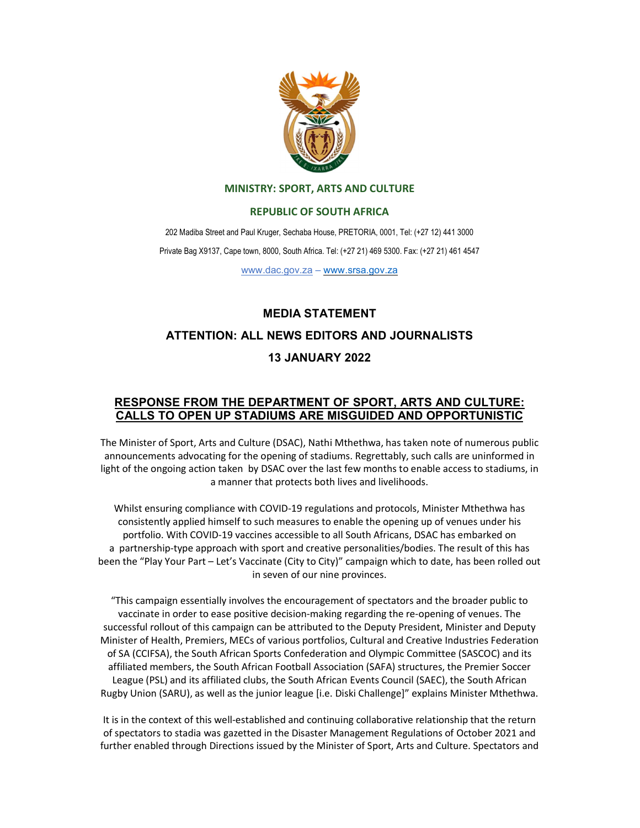

### MINISTRY: SPORT, ARTS AND CULTURE

### REPUBLIC OF SOUTH AFRICA

202 Madiba Street and Paul Kruger, Sechaba House, PRETORIA, 0001, Tel: (+27 12) 441 3000 Private Bag X9137, Cape town, 8000, South Africa. Tel: (+27 21) 469 5300. Fax: (+27 21) 461 4547

www.dac.gov.za – www.srsa.gov.za

# MEDIA STATEMENT

## ATTENTION: ALL NEWS EDITORS AND JOURNALISTS

## 13 JANUARY 2022

# RESPONSE FROM THE DEPARTMENT OF SPORT, ARTS AND CULTURE: CALLS TO OPEN UP STADIUMS ARE MISGUIDED AND OPPORTUNISTIC

 The Minister of Sport, Arts and Culture (DSAC), Nathi Mthethwa, has taken note of numerous public announcements advocating for the opening of stadiums. Regrettably, such calls are uninformed in light of the ongoing action taken by DSAC over the last few months to enable access to stadiums, in a manner that protects both lives and livelihoods.

 Whilst ensuring compliance with COVID-19 regulations and protocols, Minister Mthethwa has consistently applied himself to such measures to enable the opening up of venues under his portfolio. With COVID-19 vaccines accessible to all South Africans, DSAC has embarked on a partnership-type approach with sport and creative personalities/bodies. The result of this has been the "Play Your Part – Let's Vaccinate (City to City)" campaign which to date, has been rolled out in seven of our nine provinces.

 "This campaign essentially involves the encouragement of spectators and the broader public to vaccinate in order to ease positive decision-making regarding the re-opening of venues. The successful rollout of this campaign can be attributed to the Deputy President, Minister and Deputy Minister of Health, Premiers, MECs of various portfolios, Cultural and Creative Industries Federation of SA (CCIFSA), the South African Sports Confederation and Olympic Committee (SASCOC) and its affiliated members, the South African Football Association (SAFA) structures, the Premier Soccer League (PSL) and its affiliated clubs, the South African Events Council (SAEC), the South African Rugby Union (SARU), as well as the junior league [i.e. Diski Challenge]" explains Minister Mthethwa.

 It is in the context of this well-established and continuing collaborative relationship that the return of spectators to stadia was gazetted in the Disaster Management Regulations of October 2021 and further enabled through Directions issued by the Minister of Sport, Arts and Culture. Spectators and